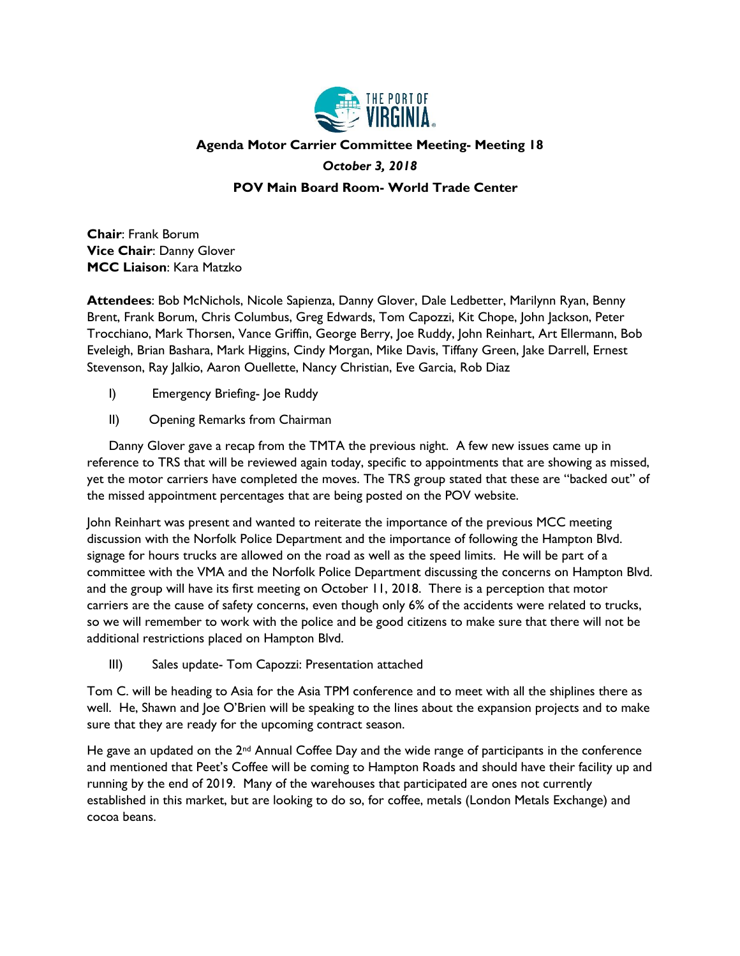

## **Agenda Motor Carrier Committee Meeting- Meeting 18**

#### *October 3, 2018*

#### **POV Main Board Room- World Trade Center**

**Chair**: Frank Borum **Vice Chair**: Danny Glover **MCC Liaison**: Kara Matzko

**Attendees**: Bob McNichols, Nicole Sapienza, Danny Glover, Dale Ledbetter, Marilynn Ryan, Benny Brent, Frank Borum, Chris Columbus, Greg Edwards, Tom Capozzi, Kit Chope, John Jackson, Peter Trocchiano, Mark Thorsen, Vance Griffin, George Berry, Joe Ruddy, John Reinhart, Art Ellermann, Bob Eveleigh, Brian Bashara, Mark Higgins, Cindy Morgan, Mike Davis, Tiffany Green, Jake Darrell, Ernest Stevenson, Ray Jalkio, Aaron Ouellette, Nancy Christian, Eve Garcia, Rob Diaz

- I) Emergency Briefing- Joe Ruddy
- II) Opening Remarks from Chairman

Danny Glover gave a recap from the TMTA the previous night. A few new issues came up in reference to TRS that will be reviewed again today, specific to appointments that are showing as missed, yet the motor carriers have completed the moves. The TRS group stated that these are "backed out" of the missed appointment percentages that are being posted on the POV website.

John Reinhart was present and wanted to reiterate the importance of the previous MCC meeting discussion with the Norfolk Police Department and the importance of following the Hampton Blvd. signage for hours trucks are allowed on the road as well as the speed limits. He will be part of a committee with the VMA and the Norfolk Police Department discussing the concerns on Hampton Blvd. and the group will have its first meeting on October 11, 2018. There is a perception that motor carriers are the cause of safety concerns, even though only 6% of the accidents were related to trucks, so we will remember to work with the police and be good citizens to make sure that there will not be additional restrictions placed on Hampton Blvd.

III) Sales update- Tom Capozzi: Presentation attached

Tom C. will be heading to Asia for the Asia TPM conference and to meet with all the shiplines there as well. He, Shawn and Joe O'Brien will be speaking to the lines about the expansion projects and to make sure that they are ready for the upcoming contract season.

He gave an updated on the  $2<sup>nd</sup>$  Annual Coffee Day and the wide range of participants in the conference and mentioned that Peet's Coffee will be coming to Hampton Roads and should have their facility up and running by the end of 2019. Many of the warehouses that participated are ones not currently established in this market, but are looking to do so, for coffee, metals (London Metals Exchange) and cocoa beans.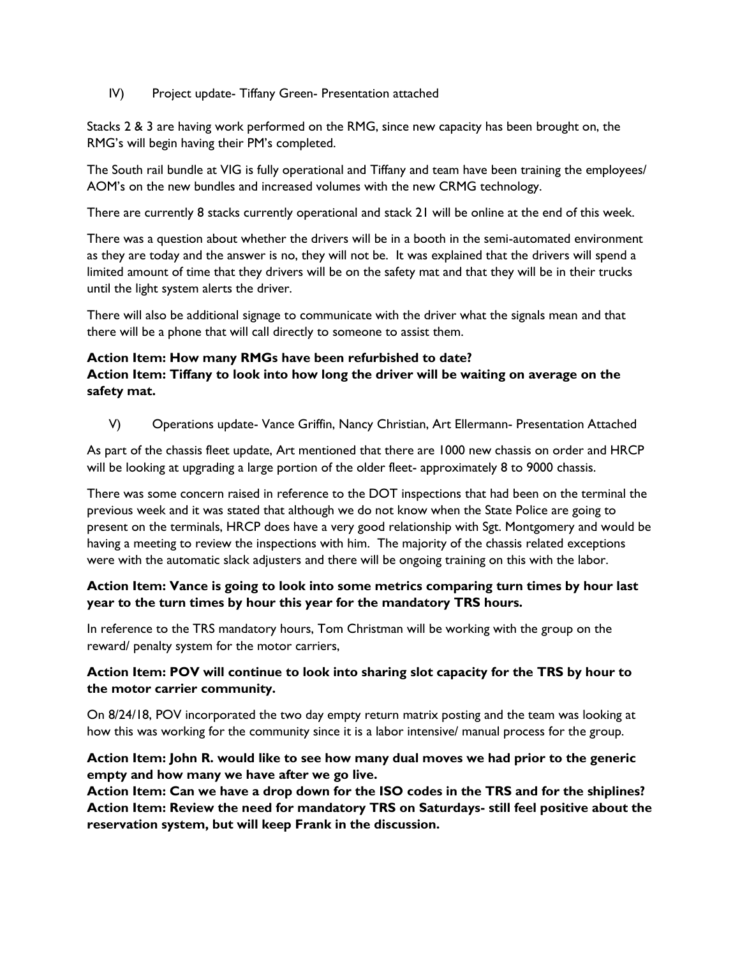#### IV) Project update- Tiffany Green- Presentation attached

Stacks 2 & 3 are having work performed on the RMG, since new capacity has been brought on, the RMG's will begin having their PM's completed.

The South rail bundle at VIG is fully operational and Tiffany and team have been training the employees/ AOM's on the new bundles and increased volumes with the new CRMG technology.

There are currently 8 stacks currently operational and stack 21 will be online at the end of this week.

There was a question about whether the drivers will be in a booth in the semi-automated environment as they are today and the answer is no, they will not be. It was explained that the drivers will spend a limited amount of time that they drivers will be on the safety mat and that they will be in their trucks until the light system alerts the driver.

There will also be additional signage to communicate with the driver what the signals mean and that there will be a phone that will call directly to someone to assist them.

#### **Action Item: How many RMGs have been refurbished to date?**

## **Action Item: Tiffany to look into how long the driver will be waiting on average on the safety mat.**

V) Operations update- Vance Griffin, Nancy Christian, Art Ellermann- Presentation Attached

As part of the chassis fleet update, Art mentioned that there are 1000 new chassis on order and HRCP will be looking at upgrading a large portion of the older fleet- approximately 8 to 9000 chassis.

There was some concern raised in reference to the DOT inspections that had been on the terminal the previous week and it was stated that although we do not know when the State Police are going to present on the terminals, HRCP does have a very good relationship with Sgt. Montgomery and would be having a meeting to review the inspections with him. The majority of the chassis related exceptions were with the automatic slack adjusters and there will be ongoing training on this with the labor.

## **Action Item: Vance is going to look into some metrics comparing turn times by hour last year to the turn times by hour this year for the mandatory TRS hours.**

In reference to the TRS mandatory hours, Tom Christman will be working with the group on the reward/ penalty system for the motor carriers,

## **Action Item: POV will continue to look into sharing slot capacity for the TRS by hour to the motor carrier community.**

On 8/24/18, POV incorporated the two day empty return matrix posting and the team was looking at how this was working for the community since it is a labor intensive/ manual process for the group.

## **Action Item: John R. would like to see how many dual moves we had prior to the generic empty and how many we have after we go live.**

**Action Item: Can we have a drop down for the ISO codes in the TRS and for the shiplines? Action Item: Review the need for mandatory TRS on Saturdays- still feel positive about the reservation system, but will keep Frank in the discussion.**